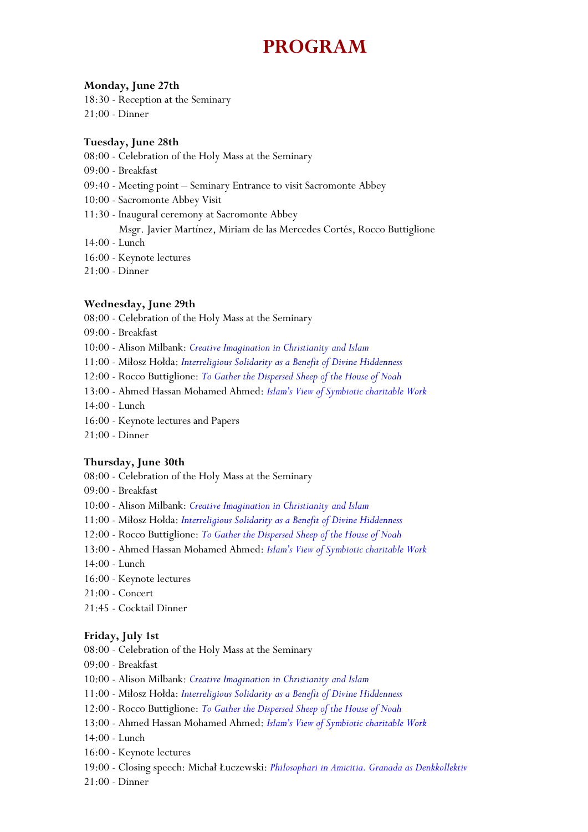# **PROGRAM**

#### **Monday, June 27th**

18:30 - Reception at the Seminary 21:00 - Dinner

#### **Tuesday, June 28th**

- 08:00 Celebration of the Holy Mass at the Seminary
- 09:00 Breakfast
- 09:40 Meeting point Seminary Entrance to visit Sacromonte Abbey
- 10:00 Sacromonte Abbey Visit
- 11:30 Inaugural ceremony at Sacromonte Abbey Msgr. Javier Martínez, Miriam de las Mercedes Cortés, Rocco Buttiglione
- 14:00 Lunch
- 16:00 Keynote lectures
- 21:00 Dinner

#### **Wednesday, June 29th**

- 08:00 Celebration of the Holy Mass at the Seminary
- 09:00 Breakfast
- 10:00 Alison Milbank: *Creative Imagination in Christianity and Islam*
- 11:00 Miłosz Hołda: *Interreligious Solidarity as a Benefit of Divine Hiddenness*
- 12:00 Rocco Buttiglione: *To Gather the Dispersed Sheep of the House of Noah*
- 13:00 Ahmed Hassan Mohamed Ahmed: *Islam's View of Symbiotic charitable Work*
- 14:00 Lunch
- 16:00 Keynote lectures and Papers
- 21:00 Dinner

#### **Thursday, June 30th**

- 08:00 Celebration of the Holy Mass at the Seminary
- 09:00 Breakfast
- 10:00 Alison Milbank: *Creative Imagination in Christianity and Islam*
- 11:00 Miłosz Hołda: *Interreligious Solidarity as a Benefit of Divine Hiddenness*
- 12:00 Rocco Buttiglione: *To Gather the Dispersed Sheep of the House of Noah*
- 13:00 Ahmed Hassan Mohamed Ahmed: *Islam's View of Symbiotic charitable Work*
- 14:00 Lunch
- 16:00 Keynote lectures
- 21:00 Concert
- 21:45 Cocktail Dinner

#### **Friday, July 1st**

- 08:00 Celebration of the Holy Mass at the Seminary
- 09:00 Breakfast
- 10:00 Alison Milbank: *Creative Imagination in Christianity and Islam*
- 11:00 Miłosz Hołda: *Interreligious Solidarity as a Benefit of Divine Hiddenness*
- 12:00 Rocco Buttiglione: *To Gather the Dispersed Sheep of the House of Noah*
- 13:00 Ahmed Hassan Mohamed Ahmed: *Islam's View of Symbiotic charitable Work*
- 14:00 Lunch
- 16:00 Keynote lectures
- 19:00 Closing speech: Michał Łuczewski: *Philosophari in Amicitia. Granada as Denkkollektiv*
- 21:00 Dinner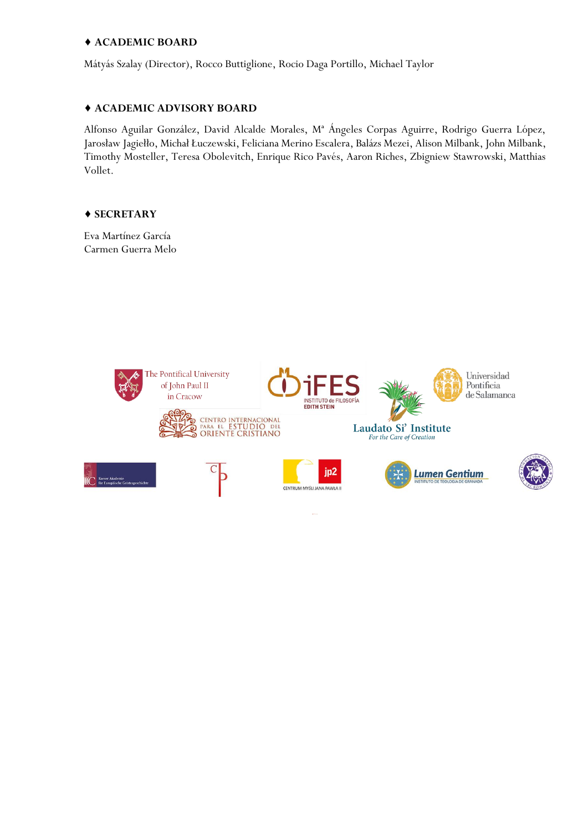#### ♦ **ACADEMIC BOARD**

Mátyás Szalay (Director), Rocco Buttiglione, Rocio Daga Portillo, Michael Taylor

#### ♦ **ACADEMIC ADVISORY BOARD**

Alfonso Aguilar González, David Alcalde Morales, Mª Ángeles Corpas Aguirre, Rodrigo Guerra López, Jarosław Jagiełło, Michał Łuczewski, Feliciana Merino Escalera, Balázs Mezei, Alison Milbank, John Milbank, Timothy Mosteller, Teresa Obolevitch, Enrique Rico Pavés, Aaron Riches, Zbigniew Stawrowski, Matthias Vollet.

#### ♦ **SECRETARY**

Eva Martínez García Carmen Guerra Melo

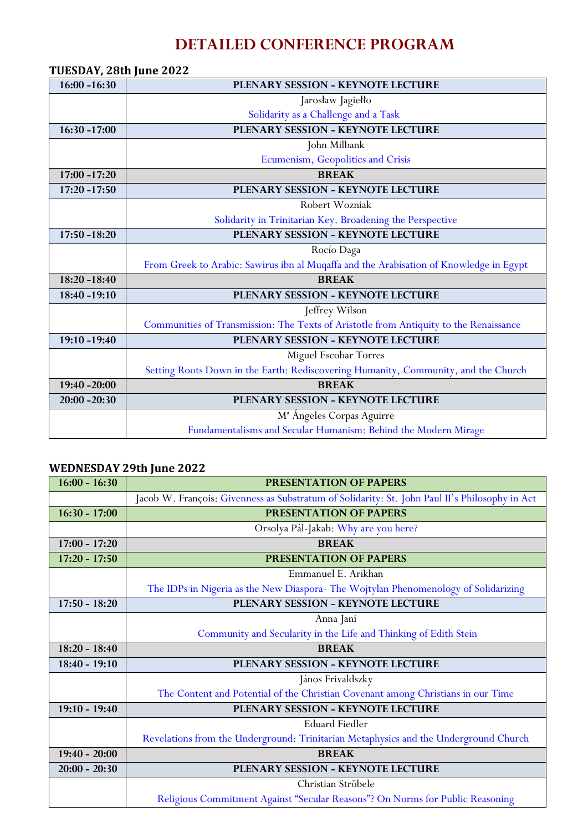## **DETAILED CONFERENCE PROGRAM**

| TUESDAY, 28th June 2022 |                                                                                        |
|-------------------------|----------------------------------------------------------------------------------------|
| $16:00 - 16:30$         | PLENARY SESSION - KEYNOTE LECTURE                                                      |
|                         | Jarosław Jagiełło                                                                      |
|                         | Solidarity as a Challenge and a Task                                                   |
| $16:30 - 17:00$         | PLENARY SESSION - KEYNOTE LECTURE                                                      |
|                         | John Milbank                                                                           |
|                         | Ecumenism, Geopolitics and Crisis                                                      |
| $17:00 - 17:20$         | <b>BREAK</b>                                                                           |
| $17:20 - 17:50$         | PLENARY SESSION - KEYNOTE LECTURE                                                      |
|                         | Robert Wozniak                                                                         |
|                         | Solidarity in Trinitarian Key. Broadening the Perspective                              |
| 17:50 -18:20            | PLENARY SESSION - KEYNOTE LECTURE                                                      |
|                         | Rocío Daga                                                                             |
|                         | From Greek to Arabic: Sawirus ibn al Muqaffa and the Arabisation of Knowledge in Egypt |
| $18:20 - 18:40$         | <b>BREAK</b>                                                                           |
| 18:40 -19:10            | PLENARY SESSION - KEYNOTE LECTURE                                                      |
|                         | Jeffrey Wilson                                                                         |
|                         | Communities of Transmission: The Texts of Aristotle from Antiquity to the Renaissance  |
| 19:10 -19:40            | PLENARY SESSION - KEYNOTE LECTURE                                                      |
|                         | Miguel Escobar Torres                                                                  |
|                         | Setting Roots Down in the Earth: Rediscovering Humanity, Community, and the Church     |
| 19:40 -20:00            | <b>BREAK</b>                                                                           |
| $20:00 - 20:30$         | PLENARY SESSION - KEYNOTE LECTURE                                                      |
|                         | M <sup>ª</sup> Angeles Corpas Aguirre                                                  |
|                         | Fundamentalisms and Secular Humanism: Behind the Modern Mirage                         |

## **WEDNESDAY 29th June 2022**

| $16:00 - 16:30$ | <b>PRESENTATION OF PAPERS</b>                                                                  |
|-----------------|------------------------------------------------------------------------------------------------|
|                 | Jacob W. François: Givenness as Substratum of Solidarity: St. John Paul II's Philosophy in Act |
| $16:30 - 17:00$ | PRESENTATION OF PAPERS                                                                         |
|                 | Orsolya Pál-Jakab: Why are you here?                                                           |
| $17:00 - 17:20$ | <b>BREAK</b>                                                                                   |
| $17:20 - 17:50$ | PRESENTATION OF PAPERS                                                                         |
|                 | Emmanuel E. Arikhan                                                                            |
|                 | The IDPs in Nigeria as the New Diaspora- The Wojtylan Phenomenology of Solidarizing            |
| $17:50 - 18:20$ | PLENARY SESSION - KEYNOTE LECTURE                                                              |
|                 | Anna Jani                                                                                      |
|                 | Community and Secularity in the Life and Thinking of Edith Stein                               |
|                 |                                                                                                |
| $18:20 - 18:40$ | <b>BREAK</b>                                                                                   |
| $18:40 - 19:10$ | PLENARY SESSION - KEYNOTE LECTURE                                                              |
|                 | János Frivaldszky                                                                              |
|                 | The Content and Potential of the Christian Covenant among Christians in our Time               |
| $19:10 - 19:40$ | PLENARY SESSION - KEYNOTE LECTURE                                                              |
|                 | <b>Eduard Fiedler</b>                                                                          |
|                 | Revelations from the Underground: Trinitarian Metaphysics and the Underground Church           |
| $19:40 - 20:00$ | <b>BREAK</b>                                                                                   |
| $20:00 - 20:30$ | PLENARY SESSION - KEYNOTE LECTURE                                                              |
|                 | Christian Ströbele                                                                             |